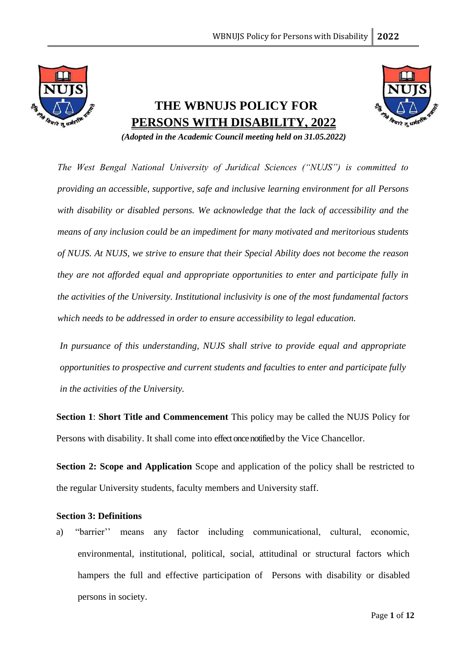

# **THE WBNUJS POLICY FOR PERSONS WITH DISABILITY, 2022**



*(Adopted in the Academic Council meeting held on 31.05.2022)*

*The West Bengal National University of Juridical Sciences ("NUJS") is committed to providing an accessible, supportive, safe and inclusive learning environment for all Persons with disability or disabled persons. We acknowledge that the lack of accessibility and the means of any inclusion could be an impediment for many motivated and meritorious students of NUJS. At NUJS, we strive to ensure that their Special Ability does not become the reason they are not afforded equal and appropriate opportunities to enter and participate fully in the activities of the University. Institutional inclusivity is one of the most fundamental factors which needs to be addressed in order to ensure accessibility to legal education.*

*In pursuance of this understanding, NUJS shall strive to provide equal and appropriate opportunities to prospective and current students and faculties to enter and participate fully in the activities of the University.*

**Section 1**: **Short Title and Commencement** This policy may be called the NUJS Policy for Persons with disability. It shall come into effect once notified by the Vice Chancellor.

**Section 2: Scope and Application** Scope and application of the policy shall be restricted to the regular University students, faculty members and University staff.

## **Section 3: Definitions**

a) "barrier'' means any factor including communicational, cultural, economic, environmental, institutional, political, social, attitudinal or structural factors which hampers the full and effective participation of Persons with disability or disabled persons in society.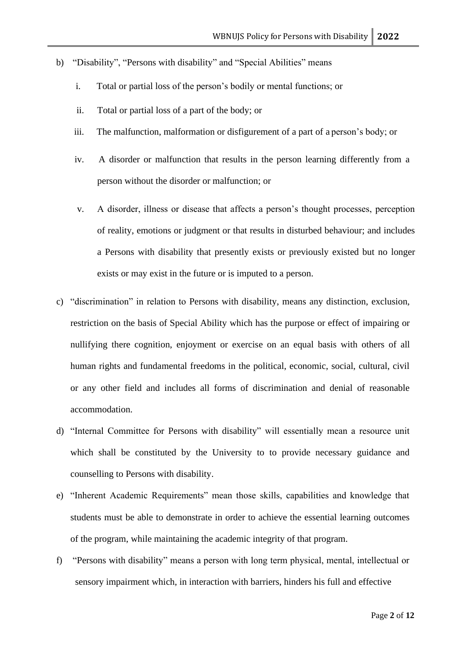- b) "Disability", "Persons with disability" and "Special Abilities" means
	- i. Total or partial loss of the person's bodily or mental functions; or
	- ii. Total or partial loss of a part of the body; or
	- iii. The malfunction, malformation or disfigurement of a part of a person's body; or
	- iv. A disorder or malfunction that results in the person learning differently from a person without the disorder or malfunction; or
	- v. A disorder, illness or disease that affects a person's thought processes, perception of reality, emotions or judgment or that results in disturbed behaviour; and includes a Persons with disability that presently exists or previously existed but no longer exists or may exist in the future or is imputed to a person.
- c) "discrimination" in relation to Persons with disability, means any distinction, exclusion, restriction on the basis of Special Ability which has the purpose or effect of impairing or nullifying there cognition, enjoyment or exercise on an equal basis with others of all human rights and fundamental freedoms in the political, economic, social, cultural, civil or any other field and includes all forms of discrimination and denial of reasonable accommodation.
- d) "Internal Committee for Persons with disability" will essentially mean a resource unit which shall be constituted by the University to to provide necessary guidance and counselling to Persons with disability.
- e) "Inherent Academic Requirements" mean those skills, capabilities and knowledge that students must be able to demonstrate in order to achieve the essential learning outcomes of the program, while maintaining the academic integrity of that program.
- f) "Persons with disability" means a person with long term physical, mental, intellectual or sensory impairment which, in interaction with barriers, hinders his full and effective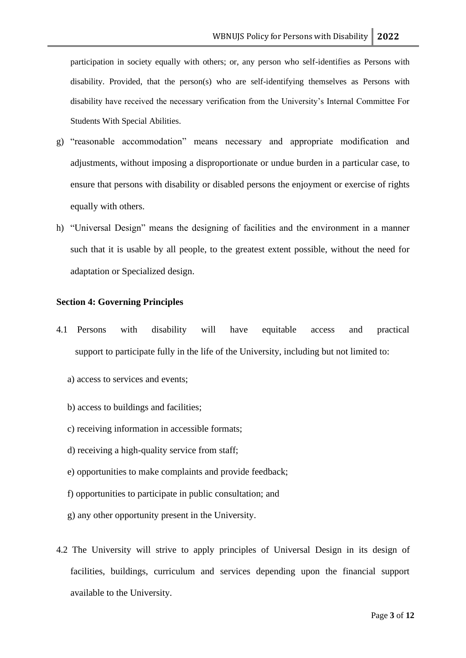participation in society equally with others; or, any person who self-identifies as Persons with disability. Provided, that the person(s) who are self-identifying themselves as Persons with disability have received the necessary verification from the University's Internal Committee For Students With Special Abilities.

- g) "reasonable accommodation" means necessary and appropriate modification and adjustments, without imposing a disproportionate or undue burden in a particular case, to ensure that persons with disability or disabled persons the enjoyment or exercise of rights equally with others.
- h) "Universal Design" means the designing of facilities and the environment in a manner such that it is usable by all people, to the greatest extent possible, without the need for adaptation or Specialized design.

#### **Section 4: Governing Principles**

- 4.1 Persons with disability will have equitable access and practical support to participate fully in the life of the University, including but not limited to:
	- a) access to services and events;
	- b) access to buildings and facilities;
	- c) receiving information in accessible formats;
	- d) receiving a high-quality service from staff;
	- e) opportunities to make complaints and provide feedback;
	- f) opportunities to participate in public consultation; and
	- g) any other opportunity present in the University.
- 4.2 The University will strive to apply principles of Universal Design in its design of facilities, buildings, curriculum and services depending upon the financial support available to the University.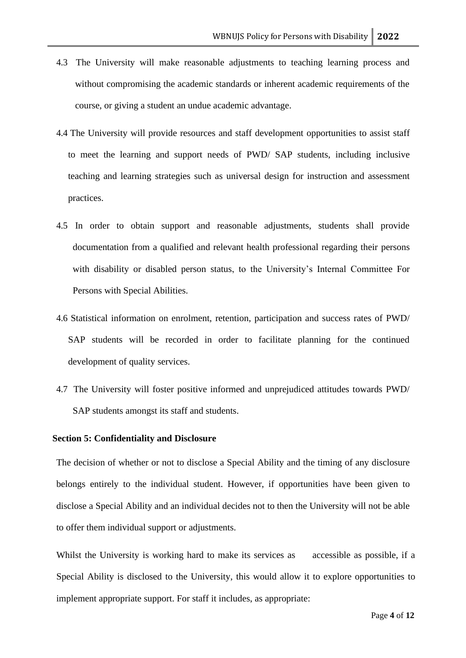- 4.3 The University will make reasonable adjustments to teaching learning process and without compromising the academic standards or inherent academic requirements of the course, or giving a student an undue academic advantage.
- 4.4 The University will provide resources and staff development opportunities to assist staff to meet the learning and support needs of PWD/ SAP students, including inclusive teaching and learning strategies such as universal design for instruction and assessment practices.
- 4.5 In order to obtain support and reasonable adjustments, students shall provide documentation from a qualified and relevant health professional regarding their persons with disability or disabled person status, to the University's Internal Committee For Persons with Special Abilities.
- 4.6 Statistical information on enrolment, retention, participation and success rates of PWD/ SAP students will be recorded in order to facilitate planning for the continued development of quality services.
- 4.7 The University will foster positive informed and unprejudiced attitudes towards PWD/ SAP students amongst its staff and students.

## **Section 5: Confidentiality and Disclosure**

The decision of whether or not to disclose a Special Ability and the timing of any disclosure belongs entirely to the individual student. However, if opportunities have been given to disclose a Special Ability and an individual decides not to then the University will not be able to offer them individual support or adjustments.

Whilst the University is working hard to make its services as accessible as possible, if a Special Ability is disclosed to the University, this would allow it to explore opportunities to implement appropriate support. For staff it includes, as appropriate: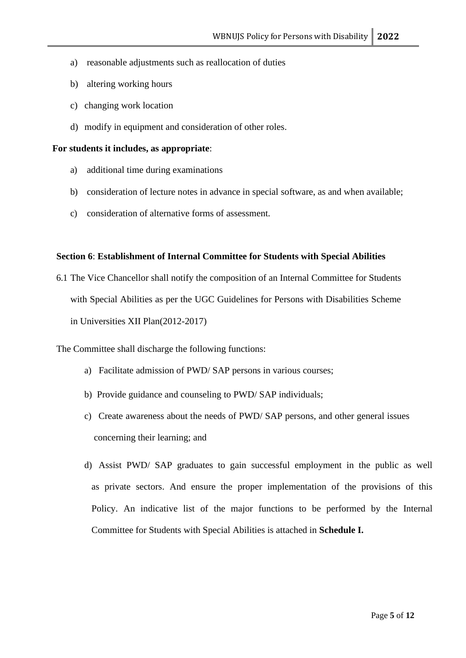- a) reasonable adjustments such as reallocation of duties
- b) altering working hours
- c) changing work location
- d) modify in equipment and consideration of other roles.

## **For students it includes, as appropriate**:

- a) additional time during examinations
- b) consideration of lecture notes in advance in special software, as and when available;
- c) consideration of alternative forms of assessment.

## **Section 6**: **Establishment of Internal Committee for Students with Special Abilities**

6.1 The Vice Chancellor shall notify the composition of an Internal Committee for Students with Special Abilities as per the UGC Guidelines for Persons with Disabilities Scheme in Universities XII Plan(2012-2017)

The Committee shall discharge the following functions:

- a) Facilitate admission of PWD/ SAP persons in various courses;
- b) Provide guidance and counseling to PWD/ SAP individuals;
- c) Create awareness about the needs of PWD/ SAP persons, and other general issues concerning their learning; and
- d) Assist PWD/ SAP graduates to gain successful employment in the public as well as private sectors. And ensure the proper implementation of the provisions of this Policy. An indicative list of the major functions to be performed by the Internal Committee for Students with Special Abilities is attached in **Schedule I.**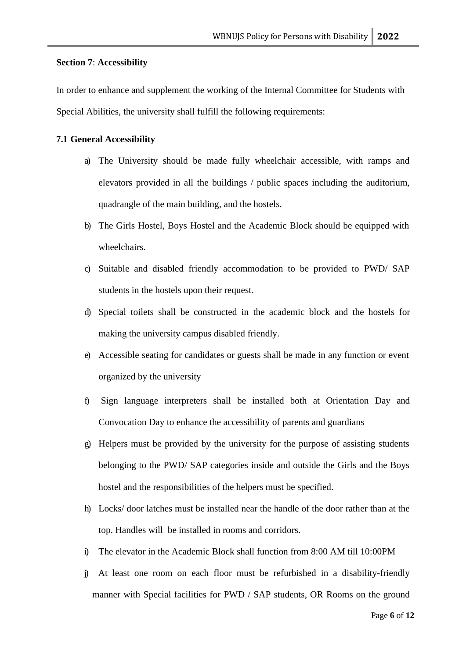## **Section 7**: **Accessibility**

In order to enhance and supplement the working of the Internal Committee for Students with Special Abilities, the university shall fulfill the following requirements:

## **7.1 General Accessibility**

- a) The University should be made fully wheelchair accessible, with ramps and elevators provided in all the buildings / public spaces including the auditorium, quadrangle of the main building, and the hostels.
- b) The Girls Hostel, Boys Hostel and the Academic Block should be equipped with wheelchairs.
- c) Suitable and disabled friendly accommodation to be provided to PWD/ SAP students in the hostels upon their request.
- d) Special toilets shall be constructed in the academic block and the hostels for making the university campus disabled friendly.
- e) Accessible seating for candidates or guests shall be made in any function or event organized by the university
- f) Sign language interpreters shall be installed both at Orientation Day and Convocation Day to enhance the accessibility of parents and guardians
- g) Helpers must be provided by the university for the purpose of assisting students belonging to the PWD/ SAP categories inside and outside the Girls and the Boys hostel and the responsibilities of the helpers must be specified.
- h) Locks/ door latches must be installed near the handle of the door rather than at the top. Handles will be installed in rooms and corridors.
- i) The elevator in the Academic Block shall function from 8:00 AM till 10:00PM
- j) At least one room on each floor must be refurbished in a disability-friendly manner with Special facilities for PWD / SAP students, OR Rooms on the ground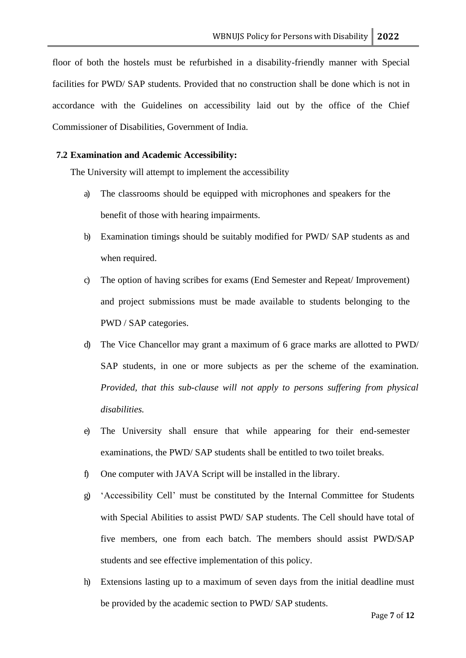floor of both the hostels must be refurbished in a disability-friendly manner with Special facilities for PWD/ SAP students. Provided that no construction shall be done which is not in accordance with the Guidelines on accessibility laid out by the office of the Chief Commissioner of Disabilities, Government of India.

## **7.2 Examination and Academic Accessibility:**

The University will attempt to implement the accessibility

- a) The classrooms should be equipped with microphones and speakers for the benefit of those with hearing impairments.
- b) Examination timings should be suitably modified for PWD/ SAP students as and when required.
- c) The option of having scribes for exams (End Semester and Repeat/ Improvement) and project submissions must be made available to students belonging to the PWD / SAP categories.
- d) The Vice Chancellor may grant a maximum of 6 grace marks are allotted to PWD/ SAP students, in one or more subjects as per the scheme of the examination. *Provided, that this sub-clause will not apply to persons suffering from physical disabilities.*
- e) The University shall ensure that while appearing for their end-semester examinations, the PWD/ SAP students shall be entitled to two toilet breaks.
- f) One computer with JAVA Script will be installed in the library.
- g) 'Accessibility Cell' must be constituted by the Internal Committee for Students with Special Abilities to assist PWD/ SAP students. The Cell should have total of five members, one from each batch. The members should assist PWD/SAP students and see effective implementation of this policy.
- h) Extensions lasting up to a maximum of seven days from the initial deadline must be provided by the academic section to PWD/ SAP students.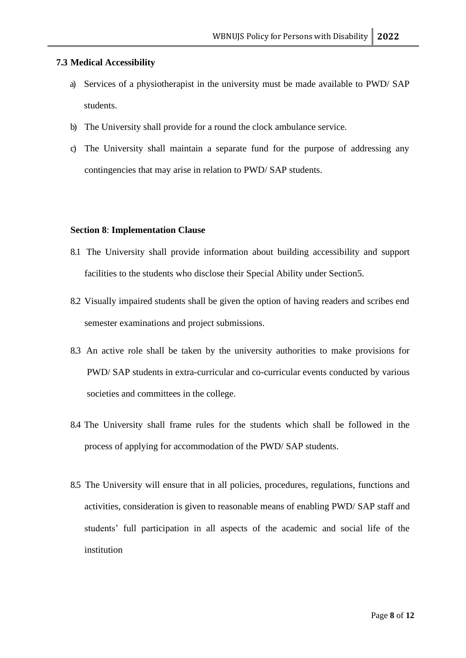## **7.3 Medical Accessibility**

- a) Services of a physiotherapist in the university must be made available to PWD/ SAP students.
- b) The University shall provide for a round the clock ambulance service.
- c) The University shall maintain a separate fund for the purpose of addressing any contingencies that may arise in relation to PWD/ SAP students.

## **Section 8**: **Implementation Clause**

- 8.1 The University shall provide information about building accessibility and support facilities to the students who disclose their Special Ability under Section5.
- 8.2 Visually impaired students shall be given the option of having readers and scribes end semester examinations and project submissions.
- 8.3 An active role shall be taken by the university authorities to make provisions for PWD/ SAP students in extra-curricular and co-curricular events conducted by various societies and committees in the college.
- 8.4 The University shall frame rules for the students which shall be followed in the process of applying for accommodation of the PWD/ SAP students.
- 8.5 The University will ensure that in all policies, procedures, regulations, functions and activities, consideration is given to reasonable means of enabling PWD/ SAP staff and students' full participation in all aspects of the academic and social life of the institution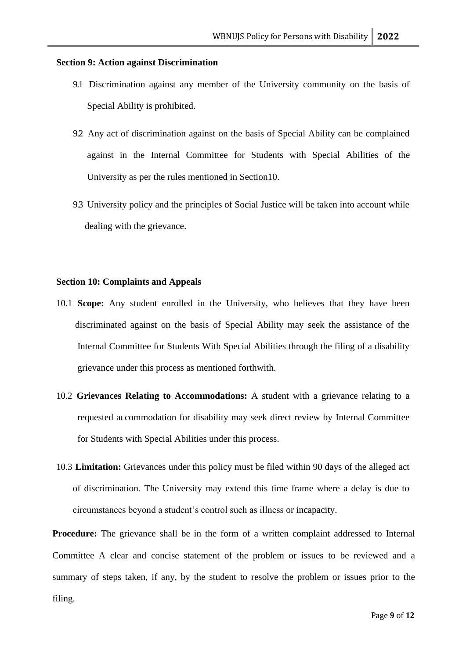### **Section 9: Action against Discrimination**

- 9.1 Discrimination against any member of the University community on the basis of Special Ability is prohibited.
- 9.2 Any act of discrimination against on the basis of Special Ability can be complained against in the Internal Committee for Students with Special Abilities of the University as per the rules mentioned in Section10.
- 9.3 University policy and the principles of Social Justice will be taken into account while dealing with the grievance.

## **Section 10: Complaints and Appeals**

- 10.1 **Scope:** Any student enrolled in the University, who believes that they have been discriminated against on the basis of Special Ability may seek the assistance of the Internal Committee for Students With Special Abilities through the filing of a disability grievance under this process as mentioned forthwith.
- 10.2 **Grievances Relating to Accommodations:** A student with a grievance relating to a requested accommodation for disability may seek direct review by Internal Committee for Students with Special Abilities under this process.
- 10.3 **Limitation:** Grievances under this policy must be filed within 90 days of the alleged act of discrimination. The University may extend this time frame where a delay is due to circumstances beyond a student's control such as illness or incapacity.

**Procedure:** The grievance shall be in the form of a written complaint addressed to Internal Committee A clear and concise statement of the problem or issues to be reviewed and a summary of steps taken, if any, by the student to resolve the problem or issues prior to the filing.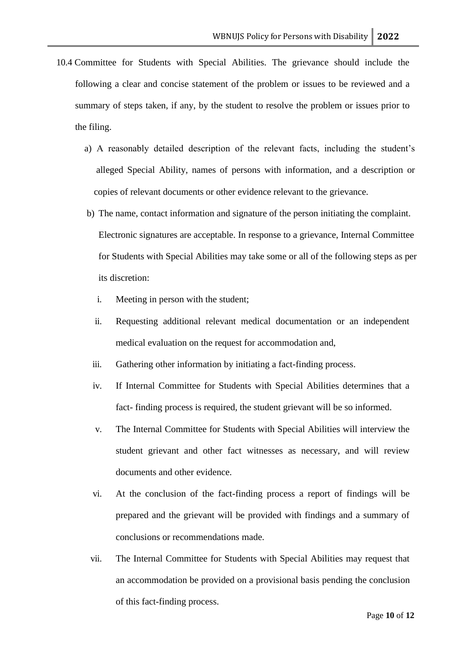- 10.4 Committee for Students with Special Abilities. The grievance should include the following a clear and concise statement of the problem or issues to be reviewed and a summary of steps taken, if any, by the student to resolve the problem or issues prior to the filing.
	- a) A reasonably detailed description of the relevant facts, including the student's alleged Special Ability, names of persons with information, and a description or copies of relevant documents or other evidence relevant to the grievance.
	- b) The name, contact information and signature of the person initiating the complaint. Electronic signatures are acceptable. In response to a grievance, Internal Committee for Students with Special Abilities may take some or all of the following steps as per its discretion:
		- i. Meeting in person with the student;
		- ii. Requesting additional relevant medical documentation or an independent medical evaluation on the request for accommodation and,
		- iii. Gathering other information by initiating a fact-finding process.
		- iv. If Internal Committee for Students with Special Abilities determines that a fact- finding process is required, the student grievant will be so informed.
		- v. The Internal Committee for Students with Special Abilities will interview the student grievant and other fact witnesses as necessary, and will review documents and other evidence.
		- vi. At the conclusion of the fact-finding process a report of findings will be prepared and the grievant will be provided with findings and a summary of conclusions or recommendations made.
	- vii. The Internal Committee for Students with Special Abilities may request that an accommodation be provided on a provisional basis pending the conclusion of this fact-finding process.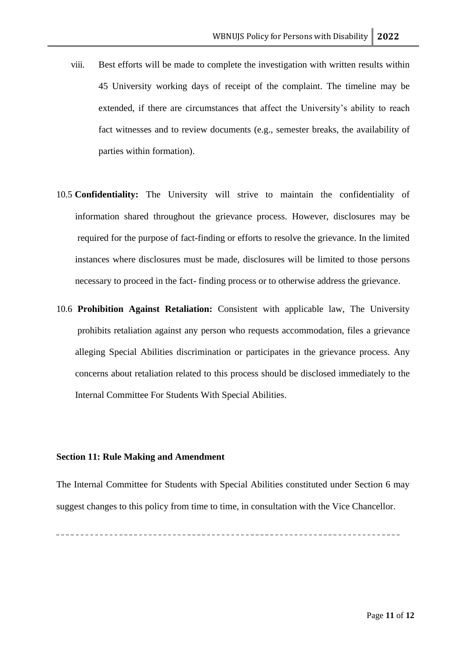- viii. Best efforts will be made to complete the investigation with written results within 45 University working days of receipt of the complaint. The timeline may be extended, if there are circumstances that affect the University's ability to reach fact witnesses and to review documents (e.g., semester breaks, the availability of parties within formation).
- 10.5 **Confidentiality:** The University will strive to maintain the confidentiality of information shared throughout the grievance process. However, disclosures may be required for the purpose of fact-finding or efforts to resolve the grievance. In the limited instances where disclosures must be made, disclosures will be limited to those persons necessary to proceed in the fact- finding process or to otherwise address the grievance.
- 10.6 **Prohibition Against Retaliation:** Consistent with applicable law, The University prohibits retaliation against any person who requests accommodation, files a grievance alleging Special Abilities discrimination or participates in the grievance process. Any concerns about retaliation related to this process should be disclosed immediately to the Internal Committee For Students With Special Abilities.

## **Section 11: Rule Making and Amendment**

The Internal Committee for Students with Special Abilities constituted under Section 6 may suggest changes to this policy from time to time, in consultation with the Vice Chancellor.